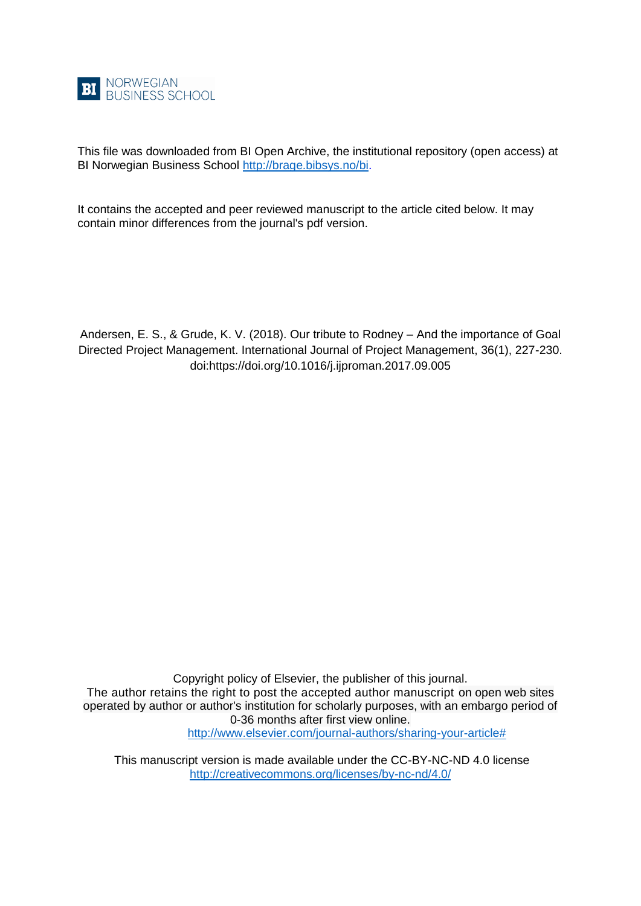

This file was downloaded from BI Open Archive, the institutional repository (open access) at BI Norwegian Business School [http://brage.bibsys.no/bi.](http://brage.bibsys.no/bi)

It contains the accepted and peer reviewed manuscript to the article cited below. It may contain minor differences from the journal's pdf version.

Andersen, E. S., & Grude, K. V. (2018). Our tribute to Rodney – And the importance of Goal Directed Project Management. International Journal of Project Management, 36(1), 227-230. doi:https://doi.org/10.1016/j.ijproman.2017.09.005

Copyright policy of Elsevier, the publisher of this journal. The author retains the right to post the accepted author manuscript on open web sites operated by author or author's institution for scholarly purposes, with an embargo period of 0-36 months after first view online. [http://www.elsevier.com/journal-authors/sharing-your-article#](http://www.elsevier.com/journal-authors/sharing-your-article)

This manuscript version is made available under the CC-BY-NC-ND 4.0 license <http://creativecommons.org/licenses/by-nc-nd/4.0/>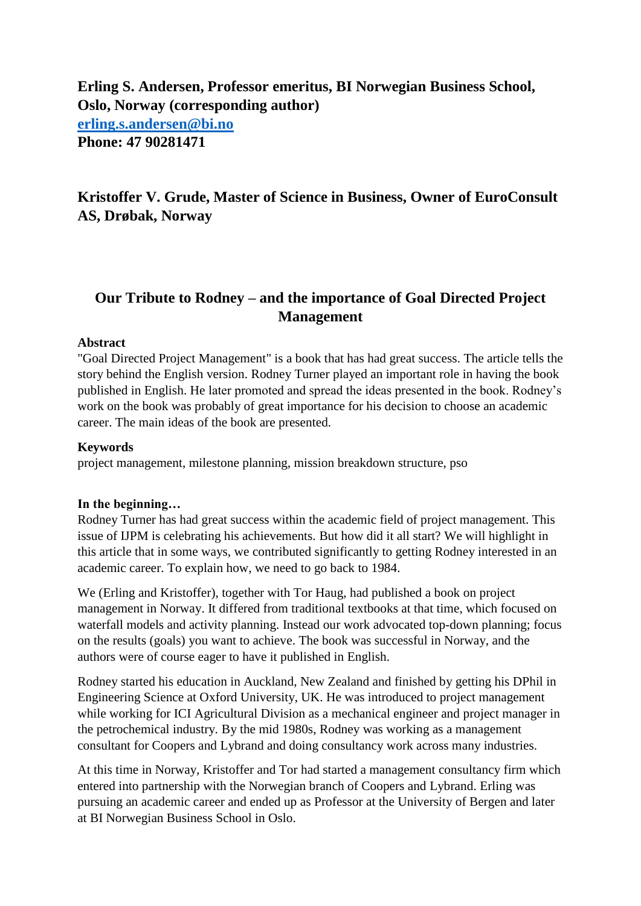**Erling S. Andersen, Professor emeritus, BI Norwegian Business School, Oslo, Norway (corresponding author) [erling.s.andersen@bi.no](mailto:erling.s.andersen@bi.no) Phone: 47 90281471**

# **Kristoffer V. Grude, Master of Science in Business, Owner of EuroConsult AS, Drøbak, Norway**

## **Our Tribute to Rodney – and the importance of Goal Directed Project Management**

#### **Abstract**

"Goal Directed Project Management" is a book that has had great success. The article tells the story behind the English version. Rodney Turner played an important role in having the book published in English. He later promoted and spread the ideas presented in the book. Rodney's work on the book was probably of great importance for his decision to choose an academic career. The main ideas of the book are presented.

#### **Keywords**

project management, milestone planning, mission breakdown structure, pso

### **In the beginning…**

Rodney Turner has had great success within the academic field of project management. This issue of IJPM is celebrating his achievements. But how did it all start? We will highlight in this article that in some ways, we contributed significantly to getting Rodney interested in an academic career. To explain how, we need to go back to 1984.

We (Erling and Kristoffer), together with Tor Haug, had published a book on project management in Norway. It differed from traditional textbooks at that time, which focused on waterfall models and activity planning. Instead our work advocated top-down planning; focus on the results (goals) you want to achieve. The book was successful in Norway, and the authors were of course eager to have it published in English.

Rodney started his education in Auckland, New Zealand and finished by getting his DPhil in Engineering Science at Oxford University, UK. He was introduced to project management while working for ICI Agricultural Division as a mechanical engineer and project manager in the petrochemical industry. By the mid 1980s, Rodney was working as a management consultant for Coopers and Lybrand and doing consultancy work across many industries.

At this time in Norway, Kristoffer and Tor had started a management consultancy firm which entered into partnership with the Norwegian branch of Coopers and Lybrand. Erling was pursuing an academic career and ended up as Professor at the University of Bergen and later at BI Norwegian Business School in Oslo.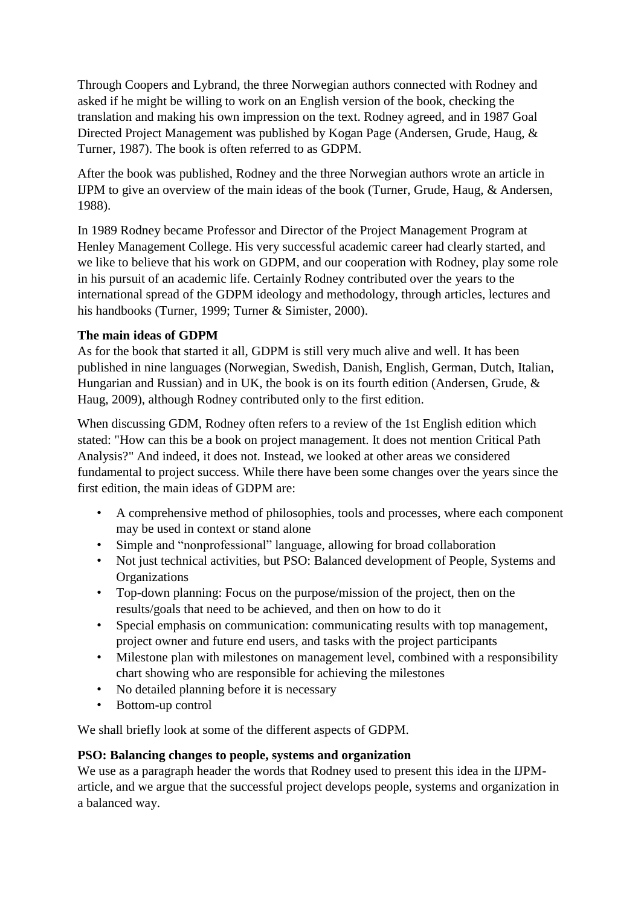Through Coopers and Lybrand, the three Norwegian authors connected with Rodney and asked if he might be willing to work on an English version of the book, checking the translation and making his own impression on the text. Rodney agreed, and in 1987 Goal Directed Project Management was published by Kogan Page (Andersen, Grude, Haug, & Turner, 1987). The book is often referred to as GDPM.

After the book was published, Rodney and the three Norwegian authors wrote an article in IJPM to give an overview of the main ideas of the book (Turner, Grude, Haug, & Andersen, 1988).

In 1989 Rodney became Professor and Director of the Project Management Program at Henley Management College. His very successful academic career had clearly started, and we like to believe that his work on GDPM, and our cooperation with Rodney, play some role in his pursuit of an academic life. Certainly Rodney contributed over the years to the international spread of the GDPM ideology and methodology, through articles, lectures and his handbooks (Turner, 1999; Turner & Simister, 2000).

## **The main ideas of GDPM**

As for the book that started it all, GDPM is still very much alive and well. It has been published in nine languages (Norwegian, Swedish, Danish, English, German, Dutch, Italian, Hungarian and Russian) and in UK, the book is on its fourth edition (Andersen, Grude, & Haug, 2009), although Rodney contributed only to the first edition.

When discussing GDM, Rodney often refers to a review of the 1st English edition which stated: "How can this be a book on project management. It does not mention Critical Path Analysis?" And indeed, it does not. Instead, we looked at other areas we considered fundamental to project success. While there have been some changes over the years since the first edition, the main ideas of GDPM are:

- A comprehensive method of philosophies, tools and processes, where each component may be used in context or stand alone
- Simple and "nonprofessional" language, allowing for broad collaboration
- Not just technical activities, but PSO: Balanced development of People, Systems and **Organizations**
- Top-down planning: Focus on the purpose/mission of the project, then on the results/goals that need to be achieved, and then on how to do it
- Special emphasis on communication: communicating results with top management, project owner and future end users, and tasks with the project participants
- Milestone plan with milestones on management level, combined with a responsibility chart showing who are responsible for achieving the milestones
- No detailed planning before it is necessary
- Bottom-up control

We shall briefly look at some of the different aspects of GDPM.

### **PSO: Balancing changes to people, systems and organization**

We use as a paragraph header the words that Rodney used to present this idea in the IJPMarticle, and we argue that the successful project develops people, systems and organization in a balanced way.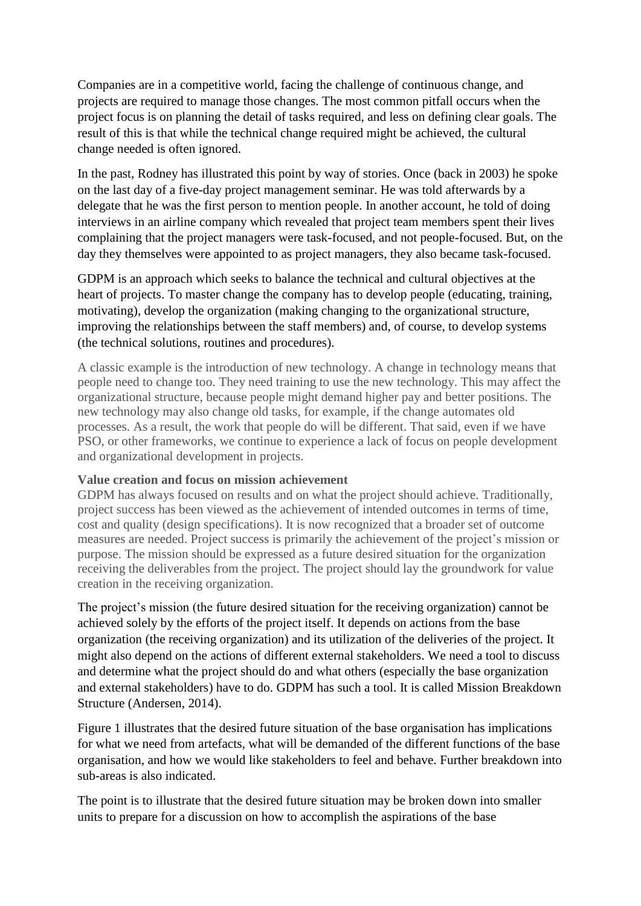Companies are in a competitive world, facing the challenge of continuous change, and projects are required to manage those changes. The most common pitfall occurs when the project focus is on planning the detail of tasks required, and less on defining clear goals. The result of this is that while the technical change required might be achieved, the cultural change needed is often ignored.

In the past, Rodney has illustrated this point by way of stories. Once (back in 2003) he spoke on the last day of a five-day project management seminar. He was told afterwards by a delegate that he was the first person to mention people. In another account, he told of doing interviews in an airline company which revealed that project team members spent their lives complaining that the project managers were task-focused, and not people-focused. But, on the day they themselves were appointed to as project managers, they also became task-focused.

GDPM is an approach which seeks to balance the technical and cultural objectives at the heart of projects. To master change the company has to develop people (educating, training, motivating), develop the organization (making changing to the organizational structure, improving the relationships between the staff members) and, of course, to develop systems (the technical solutions, routines and procedures).

A classic example is the introduction of new technology. A change in technology means that people need to change too. They need training to use the new technology. This may affect the organizational structure, because people might demand higher pay and better positions. The new technology may also change old tasks, for example, if the change automates old processes. As a result, the work that people do will be different. That said, even if we have PSO, or other frameworks, we continue to experience a lack of focus on people development and organizational development in projects.

### **Value creation and focus on mission achievement**

GDPM has always focused on results and on what the project should achieve. Traditionally, project success has been viewed as the achievement of intended outcomes in terms of time, cost and quality (design specifications). It is now recognized that a broader set of outcome measures are needed. Project success is primarily the achievement of the project's mission or purpose. The mission should be expressed as a future desired situation for the organization receiving the deliverables from the project. The project should lay the groundwork for value creation in the receiving organization.

The project's mission (the future desired situation for the receiving organization) cannot be achieved solely by the efforts of the project itself. It depends on actions from the base organization (the receiving organization) and its utilization of the deliveries of the project. It might also depend on the actions of different external stakeholders. We need a tool to discuss and determine what the project should do and what others (especially the base organization and external stakeholders) have to do. GDPM has such a tool. It is called Mission Breakdown Structure (Andersen, 2014).

Figure 1 illustrates that the desired future situation of the base organisation has implications for what we need from artefacts, what will be demanded of the different functions of the base organisation, and how we would like stakeholders to feel and behave. Further breakdown into sub-areas is also indicated.

The point is to illustrate that the desired future situation may be broken down into smaller units to prepare for a discussion on how to accomplish the aspirations of the base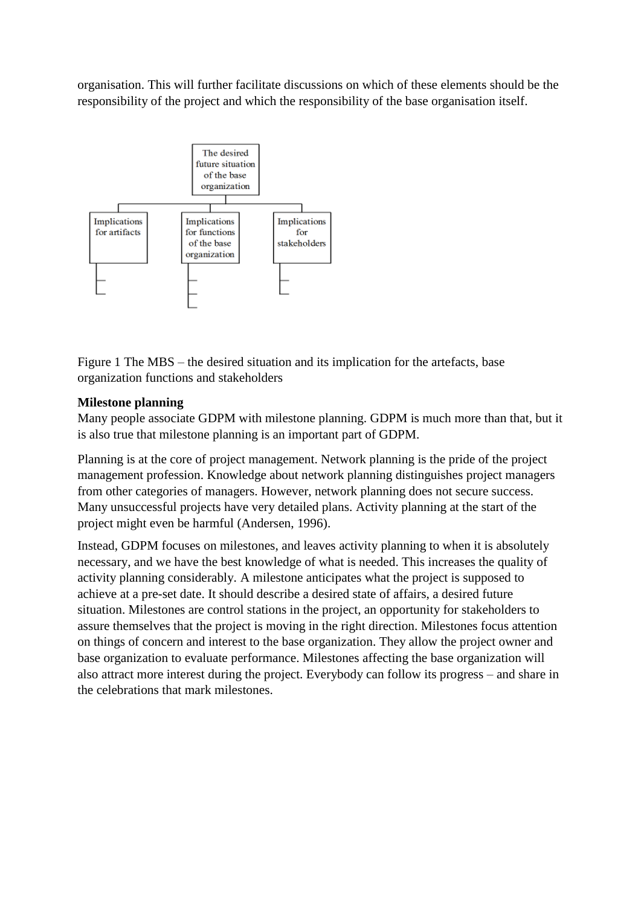organisation. This will further facilitate discussions on which of these elements should be the responsibility of the project and which the responsibility of the base organisation itself.



Figure 1 The MBS – the desired situation and its implication for the artefacts, base organization functions and stakeholders

### **Milestone planning**

Many people associate GDPM with milestone planning. GDPM is much more than that, but it is also true that milestone planning is an important part of GDPM.

Planning is at the core of project management. Network planning is the pride of the project management profession. Knowledge about network planning distinguishes project managers from other categories of managers. However, network planning does not secure success. Many unsuccessful projects have very detailed plans. Activity planning at the start of the project might even be harmful (Andersen, 1996).

Instead, GDPM focuses on milestones, and leaves activity planning to when it is absolutely necessary, and we have the best knowledge of what is needed. This increases the quality of activity planning considerably. A milestone anticipates what the project is supposed to achieve at a pre-set date. It should describe a desired state of affairs, a desired future situation. Milestones are control stations in the project, an opportunity for stakeholders to assure themselves that the project is moving in the right direction. Milestones focus attention on things of concern and interest to the base organization. They allow the project owner and base organization to evaluate performance. Milestones affecting the base organization will also attract more interest during the project. Everybody can follow its progress – and share in the celebrations that mark milestones.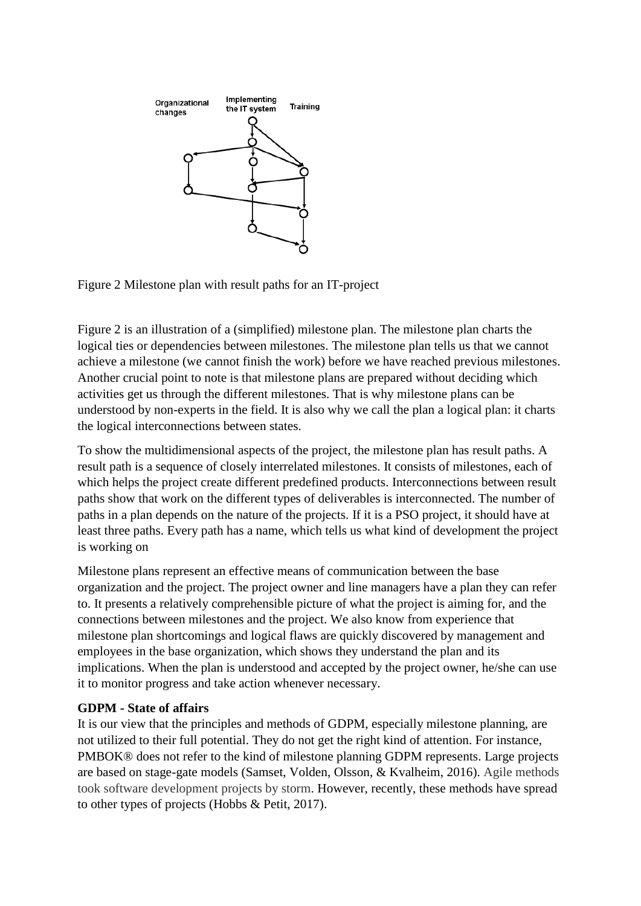

Figure 2 Milestone plan with result paths for an IT-project

Figure 2 is an illustration of a (simplified) milestone plan. The milestone plan charts the logical ties or dependencies between milestones. The milestone plan tells us that we cannot achieve a milestone (we cannot finish the work) before we have reached previous milestones. Another crucial point to note is that milestone plans are prepared without deciding which activities get us through the different milestones. That is why milestone plans can be understood by non-experts in the field. It is also why we call the plan a logical plan: it charts the logical interconnections between states.

To show the multidimensional aspects of the project, the milestone plan has result paths. A result path is a sequence of closely interrelated milestones. It consists of milestones, each of which helps the project create different predefined products. Interconnections between result paths show that work on the different types of deliverables is interconnected. The number of paths in a plan depends on the nature of the projects. If it is a PSO project, it should have at least three paths. Every path has a name, which tells us what kind of development the project is working on

Milestone plans represent an effective means of communication between the base organization and the project. The project owner and line managers have a plan they can refer to. It presents a relatively comprehensible picture of what the project is aiming for, and the connections between milestones and the project. We also know from experience that milestone plan shortcomings and logical flaws are quickly discovered by management and employees in the base organization, which shows they understand the plan and its implications. When the plan is understood and accepted by the project owner, he/she can use it to monitor progress and take action whenever necessary.

### **GDPM - State of affairs**

It is our view that the principles and methods of GDPM, especially milestone planning, are not utilized to their full potential. They do not get the right kind of attention. For instance, PMBOK® does not refer to the kind of milestone planning GDPM represents. Large projects are based on stage-gate models (Samset, Volden, Olsson, & Kvalheim, 2016). Agile methods took software development projects by storm. However, recently, these methods have spread to other types of projects (Hobbs & Petit, 2017).